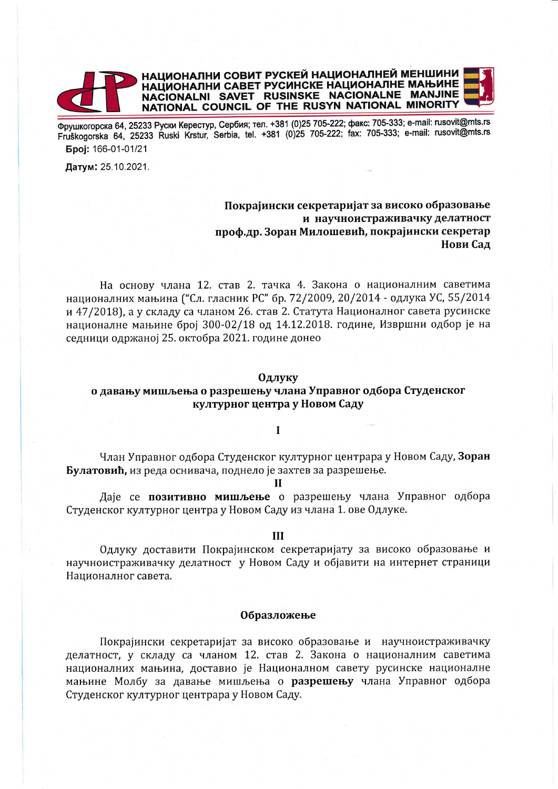

Фрушкогорска 64, 25233 Руски Керестур, Сербия; тел. +381 (0)25 705-222; факс: 705-333; e-mail: rusovit@mts.rs Fruškogorska 64, 25233 Ruski Krstur, Serbia, tel. +381 (0)25 705-222; fax: 705-333; e-mail: rusovit@mts.rs **Epoi: 166-01-01/21** 

Датум: 25.10.2021.

## Покрајински секретаријат за високо образовање и научноистраживачку делатност проф.др. Зоран Милошевић, покрајински секретар Нови Сад

На основу члана 12. став 2. тачка 4. Закона о националним саветима националних мањина ("Сл. гласник РС" бр. 72/2009, 20/2014 - одлука УС, 55/2014 и 47/2018), а у складу са чланом 26. став 2. Статута Националног савета русинске националне мањине број 300-02/18 од 14.12.2018. године, Извршни одбор је на седници одржаној 25. октобра 2021. године донео

#### Одлуку

# о давању мишљења о разрешењу члана Управног одбора Студенског културног центра у Новом Саду

#### $\mathbf{I}$

Члан Управног одбора Студенског културног центрара у Новом Саду, Зоран Булатовић, из реда оснивача, поднело је захтев за разрешење.

н

Даје се позитивно мишљење о разрешењу члана Управног одбора Студенског културног центра у Новом Саду из члана 1. ове Одлуке.

### Ш

Одлуку доставити Покрајинском секретаријату за високо образовање и научноистраживачку делатност у Новом Саду и објавити на интернет страници Националног савета.

### Образложење

Покрајински секретаријат за високо образовање и научноистраживачку делатност, у складу са чланом 12. став 2. Закона о националним саветима националних мањина, доставио је Националном савету русинске националне мањине Молбу за давање мишљења о разрешењу члана Управног одбора Студенског културног центрара у Новом Саду.